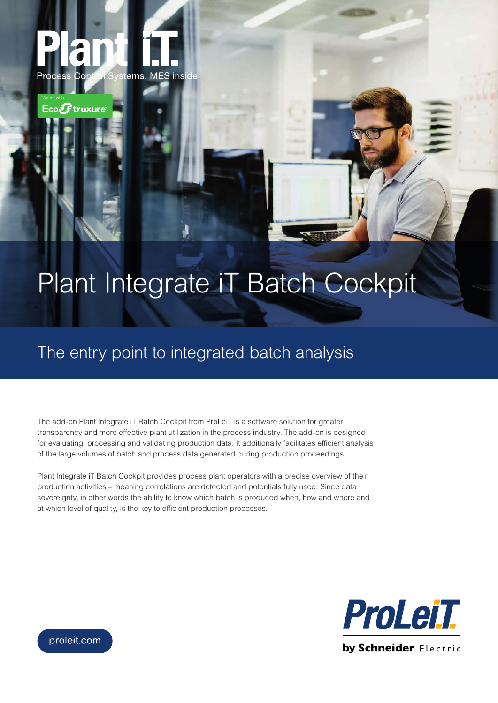

Works with

 $\mathsf{Eco}\boldsymbol{\widehat{\mathcal{F}}}$ truxure

## Plant Integrate iT Batch Cockpit

## The entry point to integrated batch analysis

The add-on Plant Integrate iT Batch Cockpit from ProLeiT is a software solution for greater transparency and more effective plant utilization in the process industry. The add-on is designed for evaluating, processing and validating production data. It additionally facilitates efficient analysis of the large volumes of batch and process data generated during production proceedings.

Plant Integrate iT Batch Cockpit provides process plant operators with a precise overview of their production activities – meaning correlations are detected and potentials fully used. Since data sovereignty, in other words the ability to know which batch is produced when, how and where and at which level of quality, is the key to efficient production processes.



proleit.com